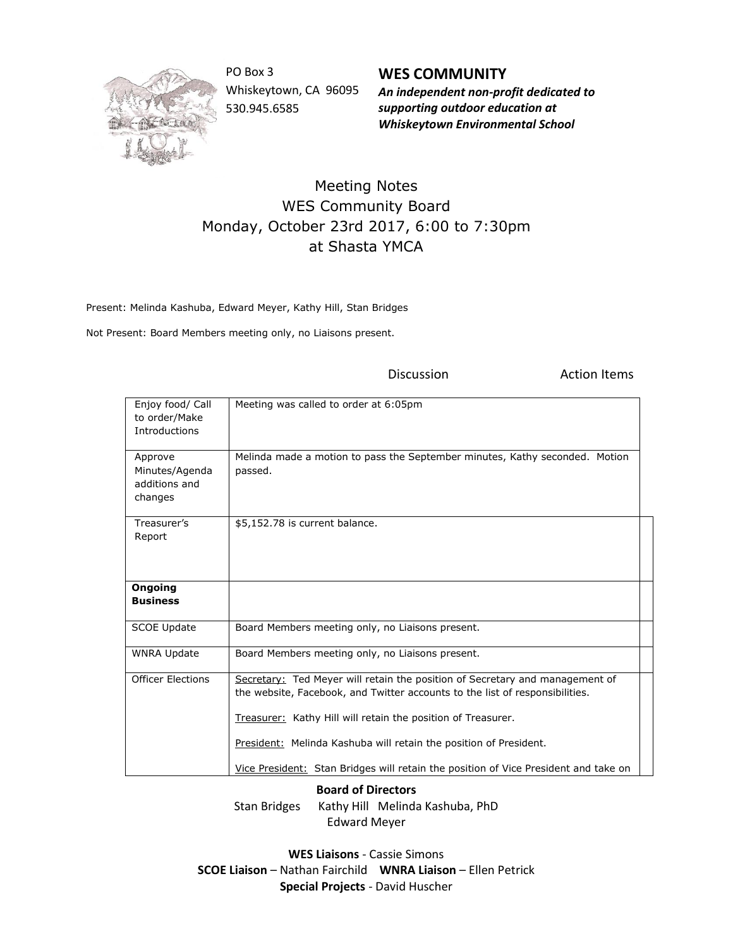

PO Box 3 Whiskeytown, CA 96095 530.945.6585

**WES COMMUNITY** *An independent non-profit dedicated to supporting outdoor education at Whiskeytown Environmental School*

Discussion **Action** Items

## Meeting Notes WES Community Board Monday, October 23rd 2017, 6:00 to 7:30pm at Shasta YMCA

Present: Melinda Kashuba, Edward Meyer, Kathy Hill, Stan Bridges

Not Present: Board Members meeting only, no Liaisons present.

| Enjoy food/ Call<br>to order/Make<br>Introductions    | Meeting was called to order at 6:05pm                                                                                                                                                                                        |
|-------------------------------------------------------|------------------------------------------------------------------------------------------------------------------------------------------------------------------------------------------------------------------------------|
| Approve<br>Minutes/Agenda<br>additions and<br>changes | Melinda made a motion to pass the September minutes, Kathy seconded. Motion<br>passed.                                                                                                                                       |
| Treasurer's<br>Report                                 | \$5,152.78 is current balance.                                                                                                                                                                                               |
| Ongoing<br><b>Business</b>                            |                                                                                                                                                                                                                              |
| <b>SCOE Update</b>                                    | Board Members meeting only, no Liaisons present.                                                                                                                                                                             |
|                                                       |                                                                                                                                                                                                                              |
| <b>WNRA Update</b>                                    | Board Members meeting only, no Liaisons present.                                                                                                                                                                             |
| <b>Officer Elections</b>                              | Secretary: Ted Meyer will retain the position of Secretary and management of<br>the website, Facebook, and Twitter accounts to the list of responsibilities.<br>Treasurer: Kathy Hill will retain the position of Treasurer. |
|                                                       | President: Melinda Kashuba will retain the position of President.                                                                                                                                                            |

**Board of Directors**

Stan Bridges Kathy Hill Melinda Kashuba, PhD Edward Meyer

**WES Liaisons** - Cassie Simons **SCOE Liaison** – Nathan Fairchild **WNRA Liaison** – Ellen Petrick **Special Projects** - David Huscher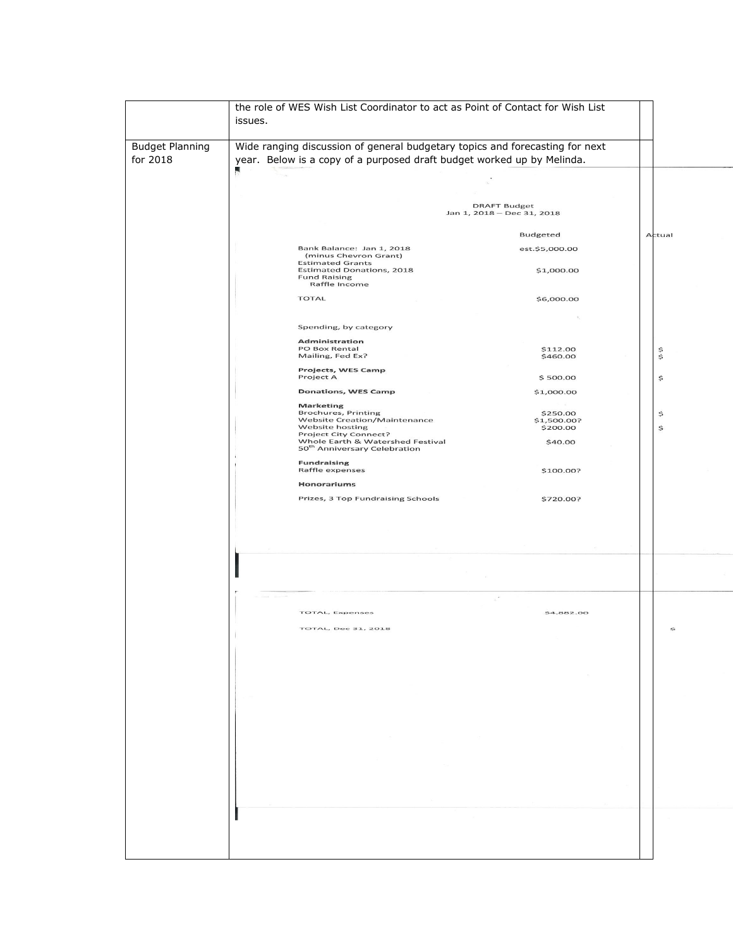|                                    | the role of WES Wish List Coordinator to act as Point of Contact for Wish List<br>issues.                                                                                                                                                                                                                                                                                                                                     |                                                                    |        |
|------------------------------------|-------------------------------------------------------------------------------------------------------------------------------------------------------------------------------------------------------------------------------------------------------------------------------------------------------------------------------------------------------------------------------------------------------------------------------|--------------------------------------------------------------------|--------|
| <b>Budget Planning</b><br>for 2018 | Wide ranging discussion of general budgetary topics and forecasting for next<br>year. Below is a copy of a purposed draft budget worked up by Melinda.<br>л                                                                                                                                                                                                                                                                   |                                                                    |        |
|                                    |                                                                                                                                                                                                                                                                                                                                                                                                                               |                                                                    |        |
|                                    |                                                                                                                                                                                                                                                                                                                                                                                                                               |                                                                    |        |
|                                    |                                                                                                                                                                                                                                                                                                                                                                                                                               | <b>DRAFT Budget</b><br>Jan 1, 2018 - Dec 31, 2018                  |        |
|                                    |                                                                                                                                                                                                                                                                                                                                                                                                                               | Budgeted                                                           | Actual |
|                                    | Bank Balance: Jan 1, 2018<br>(minus Chevron Grant)                                                                                                                                                                                                                                                                                                                                                                            | est.\$5,000.00                                                     |        |
|                                    | <b>Estimated Grants</b><br><b>Estimated Donations, 2018</b><br><b>Fund Raising</b><br>Raffle Income                                                                                                                                                                                                                                                                                                                           | \$1,000.00                                                         |        |
|                                    | <b>TOTAL</b>                                                                                                                                                                                                                                                                                                                                                                                                                  | \$6,000.00                                                         |        |
|                                    |                                                                                                                                                                                                                                                                                                                                                                                                                               |                                                                    |        |
|                                    | Spending, by category<br><b>Administration</b>                                                                                                                                                                                                                                                                                                                                                                                |                                                                    |        |
|                                    | PO Box Rental<br>Mailing, Fed Ex?                                                                                                                                                                                                                                                                                                                                                                                             | \$112.00<br>\$460.00                                               | \$     |
|                                    | Projects, WES Camp<br>Project A                                                                                                                                                                                                                                                                                                                                                                                               | \$500.00                                                           | \$     |
|                                    | <b>Donations, WES Camp</b>                                                                                                                                                                                                                                                                                                                                                                                                    | \$1,000.00                                                         |        |
|                                    | <b>Marketing</b><br><b>Brochures, Printing</b>                                                                                                                                                                                                                                                                                                                                                                                | \$250.00                                                           | \$     |
|                                    | <b>Website Creation/Maintenance</b><br>Website hosting<br><b>Project City Connect?</b>                                                                                                                                                                                                                                                                                                                                        | \$1,500.00?<br>\$200.00                                            | \$     |
|                                    | Whole Earth & Watershed Festival<br>50 <sup>th</sup> Anniversary Celebration                                                                                                                                                                                                                                                                                                                                                  | \$40.00                                                            |        |
|                                    | <b>Fundraising</b><br>Raffle expenses                                                                                                                                                                                                                                                                                                                                                                                         | \$100.00?                                                          |        |
|                                    | Honorariums                                                                                                                                                                                                                                                                                                                                                                                                                   |                                                                    |        |
|                                    | Prizes, 3 Top Fundraising Schools                                                                                                                                                                                                                                                                                                                                                                                             | \$720.00?                                                          |        |
|                                    |                                                                                                                                                                                                                                                                                                                                                                                                                               |                                                                    |        |
|                                    | The Company of the Company of                                                                                                                                                                                                                                                                                                                                                                                                 | $\sim$                                                             |        |
|                                    | <b>TOTAL, Expenses</b>                                                                                                                                                                                                                                                                                                                                                                                                        | \$4,882.00                                                         |        |
|                                    | <b>TOTAL, Dec 31, 2018</b>                                                                                                                                                                                                                                                                                                                                                                                                    |                                                                    | 淼      |
|                                    |                                                                                                                                                                                                                                                                                                                                                                                                                               |                                                                    |        |
|                                    |                                                                                                                                                                                                                                                                                                                                                                                                                               | $\mathcal{P}(\mathcal{C})$ . The set of $\mathcal{P}(\mathcal{C})$ |        |
|                                    |                                                                                                                                                                                                                                                                                                                                                                                                                               |                                                                    |        |
|                                    |                                                                                                                                                                                                                                                                                                                                                                                                                               |                                                                    |        |
|                                    |                                                                                                                                                                                                                                                                                                                                                                                                                               |                                                                    |        |
|                                    |                                                                                                                                                                                                                                                                                                                                                                                                                               |                                                                    |        |
|                                    | $\frac{1}{\alpha} \sum_{i=1}^{\infty} \frac{1}{\alpha_i} \sum_{i=1}^{\infty} \frac{1}{\alpha_i} \sum_{i=1}^{\infty} \frac{1}{\alpha_i} \sum_{i=1}^{\infty} \frac{1}{\alpha_i} \sum_{i=1}^{\infty} \frac{1}{\alpha_i} \sum_{i=1}^{\infty} \frac{1}{\alpha_i} \sum_{i=1}^{\infty} \frac{1}{\alpha_i} \sum_{i=1}^{\infty} \frac{1}{\alpha_i} \sum_{i=1}^{\infty} \frac{1}{\alpha_i} \sum_{i=1}^{\infty} \frac{1}{\alpha_i} \sum$ |                                                                    |        |
|                                    |                                                                                                                                                                                                                                                                                                                                                                                                                               |                                                                    |        |
|                                    | the control of the control of                                                                                                                                                                                                                                                                                                                                                                                                 |                                                                    |        |
|                                    |                                                                                                                                                                                                                                                                                                                                                                                                                               |                                                                    |        |
|                                    |                                                                                                                                                                                                                                                                                                                                                                                                                               |                                                                    |        |
|                                    |                                                                                                                                                                                                                                                                                                                                                                                                                               |                                                                    |        |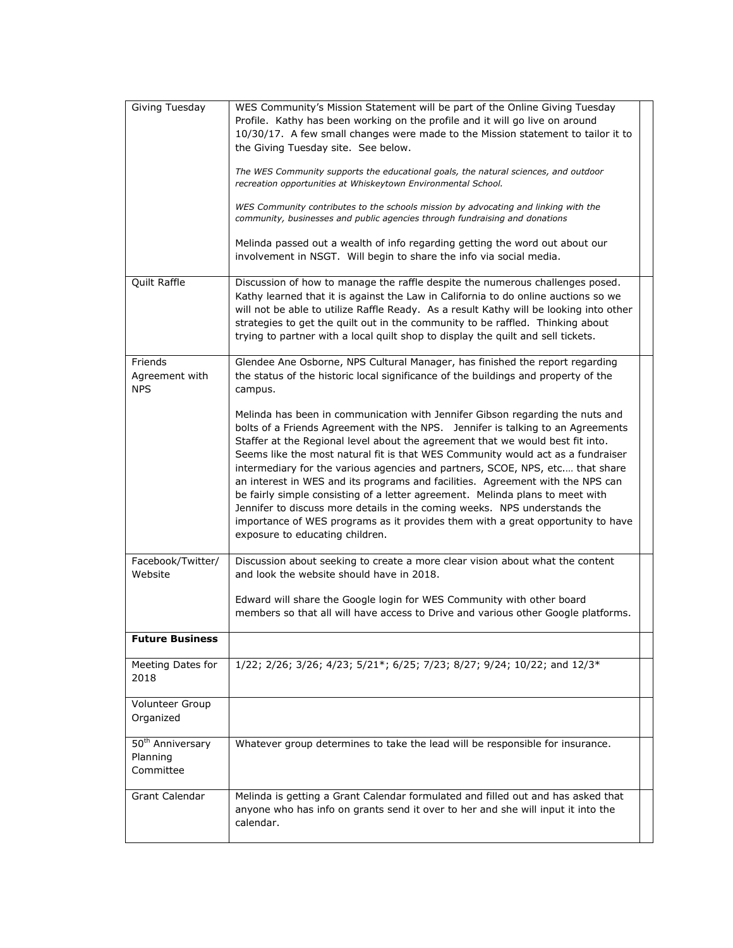| Giving Tuesday                                        | WES Community's Mission Statement will be part of the Online Giving Tuesday<br>Profile. Kathy has been working on the profile and it will go live on around<br>10/30/17. A few small changes were made to the Mission statement to tailor it to<br>the Giving Tuesday site. See below.                                                                                                                                                                                                                                                                                                                                                                                                                                                                                                       |  |
|-------------------------------------------------------|----------------------------------------------------------------------------------------------------------------------------------------------------------------------------------------------------------------------------------------------------------------------------------------------------------------------------------------------------------------------------------------------------------------------------------------------------------------------------------------------------------------------------------------------------------------------------------------------------------------------------------------------------------------------------------------------------------------------------------------------------------------------------------------------|--|
|                                                       | The WES Community supports the educational goals, the natural sciences, and outdoor<br>recreation opportunities at Whiskeytown Environmental School.                                                                                                                                                                                                                                                                                                                                                                                                                                                                                                                                                                                                                                         |  |
|                                                       | WES Community contributes to the schools mission by advocating and linking with the<br>community, businesses and public agencies through fundraising and donations                                                                                                                                                                                                                                                                                                                                                                                                                                                                                                                                                                                                                           |  |
|                                                       | Melinda passed out a wealth of info regarding getting the word out about our<br>involvement in NSGT. Will begin to share the info via social media.                                                                                                                                                                                                                                                                                                                                                                                                                                                                                                                                                                                                                                          |  |
| Quilt Raffle                                          | Discussion of how to manage the raffle despite the numerous challenges posed.<br>Kathy learned that it is against the Law in California to do online auctions so we<br>will not be able to utilize Raffle Ready. As a result Kathy will be looking into other<br>strategies to get the quilt out in the community to be raffled. Thinking about<br>trying to partner with a local quilt shop to display the quilt and sell tickets.                                                                                                                                                                                                                                                                                                                                                          |  |
| Friends<br>Agreement with<br><b>NPS</b>               | Glendee Ane Osborne, NPS Cultural Manager, has finished the report regarding<br>the status of the historic local significance of the buildings and property of the<br>campus.                                                                                                                                                                                                                                                                                                                                                                                                                                                                                                                                                                                                                |  |
|                                                       | Melinda has been in communication with Jennifer Gibson regarding the nuts and<br>bolts of a Friends Agreement with the NPS. Jennifer is talking to an Agreements<br>Staffer at the Regional level about the agreement that we would best fit into.<br>Seems like the most natural fit is that WES Community would act as a fundraiser<br>intermediary for the various agencies and partners, SCOE, NPS, etc that share<br>an interest in WES and its programs and facilities. Agreement with the NPS can<br>be fairly simple consisting of a letter agreement. Melinda plans to meet with<br>Jennifer to discuss more details in the coming weeks. NPS understands the<br>importance of WES programs as it provides them with a great opportunity to have<br>exposure to educating children. |  |
| Facebook/Twitter/<br>Website                          | Discussion about seeking to create a more clear vision about what the content<br>and look the website should have in 2018.                                                                                                                                                                                                                                                                                                                                                                                                                                                                                                                                                                                                                                                                   |  |
|                                                       | Edward will share the Google login for WES Community with other board<br>members so that all will have access to Drive and various other Google platforms.                                                                                                                                                                                                                                                                                                                                                                                                                                                                                                                                                                                                                                   |  |
| <b>Future Business</b>                                |                                                                                                                                                                                                                                                                                                                                                                                                                                                                                                                                                                                                                                                                                                                                                                                              |  |
| Meeting Dates for<br>2018                             | 1/22; 2/26; 3/26; 4/23; 5/21*; 6/25; 7/23; 8/27; 9/24; 10/22; and 12/3*                                                                                                                                                                                                                                                                                                                                                                                                                                                                                                                                                                                                                                                                                                                      |  |
| Volunteer Group<br>Organized                          |                                                                                                                                                                                                                                                                                                                                                                                                                                                                                                                                                                                                                                                                                                                                                                                              |  |
| 50 <sup>th</sup> Anniversary<br>Planning<br>Committee | Whatever group determines to take the lead will be responsible for insurance.                                                                                                                                                                                                                                                                                                                                                                                                                                                                                                                                                                                                                                                                                                                |  |
| Grant Calendar                                        | Melinda is getting a Grant Calendar formulated and filled out and has asked that<br>anyone who has info on grants send it over to her and she will input it into the<br>calendar.                                                                                                                                                                                                                                                                                                                                                                                                                                                                                                                                                                                                            |  |